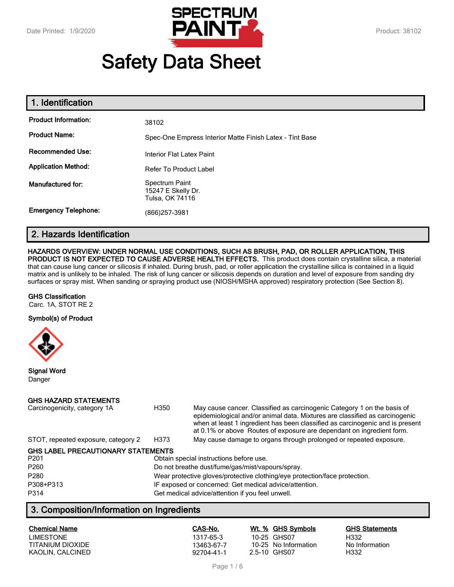

# **Safety Data Sheet**

| 1. Identification           |                                                          |
|-----------------------------|----------------------------------------------------------|
| <b>Product Information:</b> | 38102                                                    |
| <b>Product Name:</b>        | Spec-One Empress Interior Matte Finish Latex - Tint Base |
| <b>Recommended Use:</b>     | Interior Flat Latex Paint                                |
| <b>Application Method:</b>  | Refer To Product Label                                   |
| Manufactured for:           | Spectrum Paint<br>15247 E Skelly Dr.<br>Tulsa, OK 74116  |
| <b>Emergency Telephone:</b> | (866)257-3981                                            |

## **2. Hazards Identification**

#### **HAZARDS OVERVIEW: UNDER NORMAL USE CONDITIONS, SUCH AS BRUSH, PAD, OR ROLLER APPLICATION, THIS**

**PRODUCT IS NOT EXPECTED TO CAUSE ADVERSE HEALTH EFFECTS.** This product does contain crystalline silica, a material that can cause lung cancer or silicosis if inhaled. During brush, pad, or roller application the crystalline silica is contained in a liquid matrix and is unlikely to be inhaled. The risk of lung cancer or silicosis depends on duration and level of exposure from sanding dry surfaces or spray mist. When sanding or spraying product use (NIOSH/MSHA approved) respiratory protection (See Section 8).

#### **GHS Classification**

Carc. 1A, STOT RE 2

#### **Symbol(s) of Product**



**Signal Word** Danger

#### **GHS HAZARD STATEMENTS**

| Carcinogenicity, category 1A              | H350                                                                       | May cause cancer. Classified as carcinogenic Category 1 on the basis of<br>epidemiological and/or animal data. Mixtures are classified as carcinogenic<br>when at least 1 ingredient has been classified as carcinogenic and is present<br>at 0.1% or above Routes of exposure are dependant on ingredient form. |  |
|-------------------------------------------|----------------------------------------------------------------------------|------------------------------------------------------------------------------------------------------------------------------------------------------------------------------------------------------------------------------------------------------------------------------------------------------------------|--|
| STOT, repeated exposure, category 2       | H373                                                                       | May cause damage to organs through prolonged or repeated exposure.                                                                                                                                                                                                                                               |  |
| <b>GHS LABEL PRECAUTIONARY STATEMENTS</b> |                                                                            |                                                                                                                                                                                                                                                                                                                  |  |
| P <sub>201</sub>                          |                                                                            | Obtain special instructions before use.                                                                                                                                                                                                                                                                          |  |
| P <sub>260</sub>                          | Do not breathe dust/fume/gas/mist/vapours/spray.                           |                                                                                                                                                                                                                                                                                                                  |  |
| P280                                      | Wear protective gloves/protective clothing/eye protection/face protection. |                                                                                                                                                                                                                                                                                                                  |  |
| P308+P313                                 | IF exposed or concerned: Get medical advice/attention.                     |                                                                                                                                                                                                                                                                                                                  |  |
| P314                                      |                                                                            | Get medical advice/attention if you feel unwell.                                                                                                                                                                                                                                                                 |  |

## **3. Composition/Information on Ingredients**

| <b>Chemical Name</b> | CAS-No.    | Wt. % GHS Symbols    | <b>GHS Statements</b> |
|----------------------|------------|----------------------|-----------------------|
| <b>LIMESTONE</b>     | 1317-65-3  | 10-25 GHS07          | H332                  |
| TITANIUM DIOXIDE     | 13463-67-7 | 10-25 No Information | No Information        |
| KAOLIN. CALCINED     | 92704-41-1 | 2.5-10 GHS07         | H332                  |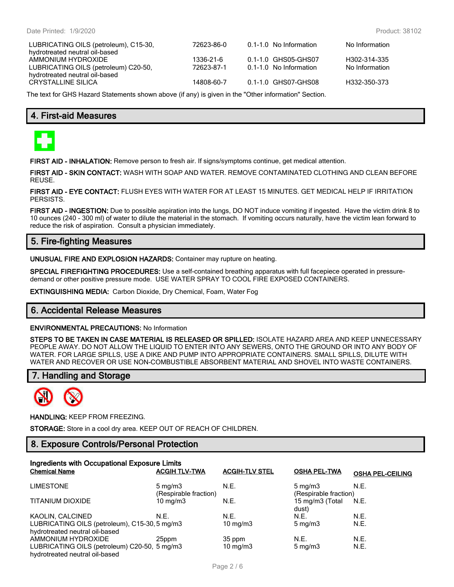| LUBRICATING OILS (petroleum), C15-30, | 72623-86-0 | 0.1-1.0 No Information | No Information |
|---------------------------------------|------------|------------------------|----------------|
| hydrotreated neutral oil-based        |            |                        |                |
| AMMONIUM HYDROXIDE                    | 1336-21-6  | 0.1-1.0 GHS05-GHS07    | H302-314-335   |
| LUBRICATING OILS (petroleum) C20-50,  | 72623-87-1 | 0.1-1.0 No Information | No Information |
| hydrotreated neutral oil-based        |            |                        |                |
| CRYSTALLINE SILICA                    | 14808-60-7 | 0.1-1.0 GHS07-GHS08    | H332-350-373   |
|                                       |            |                        |                |

The text for GHS Hazard Statements shown above (if any) is given in the "Other information" Section.

## **4. First-aid Measures**



**FIRST AID - INHALATION:** Remove person to fresh air. If signs/symptoms continue, get medical attention.

**FIRST AID - SKIN CONTACT:** WASH WITH SOAP AND WATER. REMOVE CONTAMINATED CLOTHING AND CLEAN BEFORE REUSE.

**FIRST AID - EYE CONTACT:** FLUSH EYES WITH WATER FOR AT LEAST 15 MINUTES. GET MEDICAL HELP IF IRRITATION PERSISTS.

**FIRST AID - INGESTION:** Due to possible aspiration into the lungs, DO NOT induce vomiting if ingested. Have the victim drink 8 to 10 ounces (240 - 300 ml) of water to dilute the material in the stomach. If vomiting occurs naturally, have the victim lean forward to reduce the risk of aspiration. Consult a physician immediately.

## **5. Fire-fighting Measures**

**UNUSUAL FIRE AND EXPLOSION HAZARDS:** Container may rupture on heating.

**SPECIAL FIREFIGHTING PROCEDURES:** Use a self-contained breathing apparatus with full facepiece operated in pressuredemand or other positive pressure mode. USE WATER SPRAY TO COOL FIRE EXPOSED CONTAINERS.

**EXTINGUISHING MEDIA:** Carbon Dioxide, Dry Chemical, Foam, Water Fog

#### **6. Accidental Release Measures**

#### **ENVIRONMENTAL PRECAUTIONS:** No Information

**STEPS TO BE TAKEN IN CASE MATERIAL IS RELEASED OR SPILLED:** ISOLATE HAZARD AREA AND KEEP UNNECESSARY PEOPLE AWAY. DO NOT ALLOW THE LIQUID TO ENTER INTO ANY SEWERS, ONTO THE GROUND OR INTO ANY BODY OF WATER. FOR LARGE SPILLS, USE A DIKE AND PUMP INTO APPROPRIATE CONTAINERS. SMALL SPILLS, DILUTE WITH WATER AND RECOVER OR USE NON-COMBUSTIBLE ABSORBENT MATERIAL AND SHOVEL INTO WASTE CONTAINERS.

## **7. Handling and Storage**



**HANDLING:** KEEP FROM FREEZING.

**STORAGE:** Store in a cool dry area. KEEP OUT OF REACH OF CHILDREN.

## **8. Exposure Controls/Personal Protection**

| Ingredients with Occupational Exposure Limits                                   |                                           |                       |                                           |                         |  |
|---------------------------------------------------------------------------------|-------------------------------------------|-----------------------|-------------------------------------------|-------------------------|--|
| <b>Chemical Name</b>                                                            | <b>ACGIH TLV-TWA</b>                      | <b>ACGIH-TLV STEL</b> | <b>OSHA PEL-TWA</b>                       | <b>OSHA PEL-CEILING</b> |  |
| <b>LIMESTONE</b>                                                                | $5 \text{ mg/m}$<br>(Respirable fraction) | N.E.                  | $5 \text{ mg/m}$<br>(Respirable fraction) | N.E.                    |  |
| <b>TITANIUM DIOXIDE</b>                                                         | $10 \text{ mg/m}$                         | N.E.                  | 15 mg/m3 (Total<br>dust)                  | N.E.                    |  |
| KAOLIN, CALCINED                                                                | N.E.                                      | N.E.                  | N.E.                                      | N.E.                    |  |
| LUBRICATING OILS (petroleum), C15-30, 5 mg/m3<br>hydrotreated neutral oil-based |                                           | 10 $mq/m3$            | $5 \text{ mg/m}$                          | N.E.                    |  |
| AMMONIUM HYDROXIDE                                                              | 25ppm                                     | 35 ppm                | N.E.                                      | N.E.                    |  |
| LUBRICATING OILS (petroleum) C20-50, 5 mg/m3<br>hydrotreated neutral oil-based  |                                           | $10 \text{ mg/m}$     | $5 \text{ mg/m}$                          | N.E.                    |  |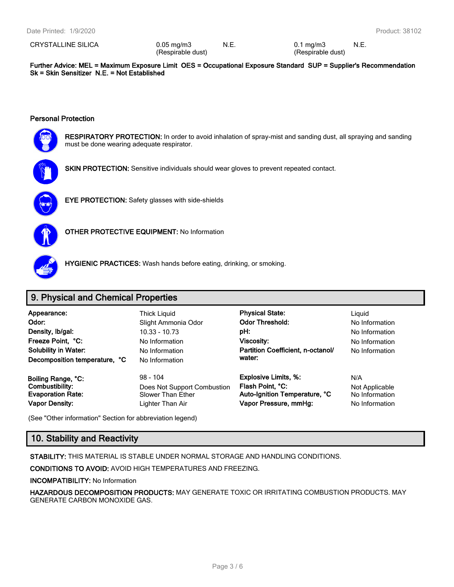CRYSTALLINE SILICA 0.05 mg/m3

(Respirable dust)

N.E. 0.1 mg/m3 (Respirable dust) N.E.

**Further Advice: MEL = Maximum Exposure Limit OES = Occupational Exposure Standard SUP = Supplier's Recommendation Sk = Skin Sensitizer N.E. = Not Established**

#### **Personal Protection**



**RESPIRATORY PROTECTION:** In order to avoid inhalation of spray-mist and sanding dust, all spraying and sanding must be done wearing adequate respirator.





**EYE PROTECTION:** Safety glasses with side-shields



**OTHER PROTECTIVE EQUIPMENT:** No Information



**HYGIENIC PRACTICES:** Wash hands before eating, drinking, or smoking.

## **9. Physical and Chemical Properties**

**Odor:** No Information Slight Ammonia Odor **Color Threshold:** No Information **Density, Ib/gal:** 10.33 - 10.73 **pH:** No Information No Information **Freeze Point, °C:** No Information **Viscosity:** No Information **Partition Coefficient, n-octanol/ No Information No Information No Information No Information** No Information **Decomposition temperature, °C** No Information

**Vapor Density:** Lighter Than Air **Vapor Pressure, mmHg:** No Information

**Appearance:** Thick Liquid **Physical State:** Liquid **water:**

**Boiling Range, °C:** 98 - 104 **Explosive Limits, %:** N/A **Combustibility:** Does Not Support Combustion **Flash Point, °C:** Not Applicable **Evaporation Rate:** Slower Than Ether **Auto-Ignition Temperature, °C** No Information

(See "Other information" Section for abbreviation legend)

## **10. Stability and Reactivity**

**STABILITY:** THIS MATERIAL IS STABLE UNDER NORMAL STORAGE AND HANDLING CONDITIONS.

**CONDITIONS TO AVOID:** AVOID HIGH TEMPERATURES AND FREEZING.

**INCOMPATIBILITY:** No Information

**HAZARDOUS DECOMPOSITION PRODUCTS:** MAY GENERATE TOXIC OR IRRITATING COMBUSTION PRODUCTS. MAY GENERATE CARBON MONOXIDE GAS.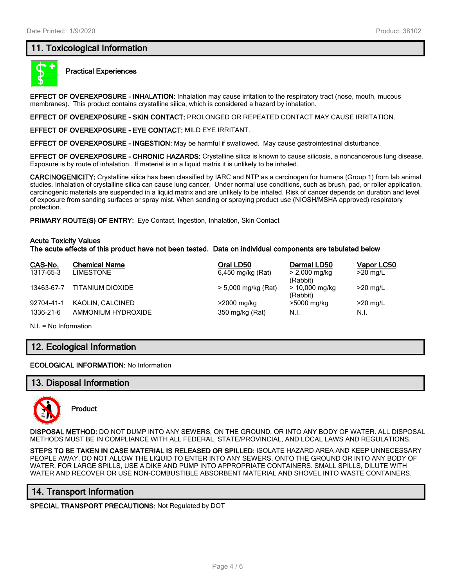## **11. Toxicological Information**



#### **Practical Experiences**

**EFFECT OF OVEREXPOSURE - INHALATION:** Inhalation may cause irritation to the respiratory tract (nose, mouth, mucous membranes). This product contains crystalline silica, which is considered a hazard by inhalation.

**EFFECT OF OVEREXPOSURE - SKIN CONTACT:** PROLONGED OR REPEATED CONTACT MAY CAUSE IRRITATION.

**EFFECT OF OVEREXPOSURE - EYE CONTACT:** MILD EYE IRRITANT.

**EFFECT OF OVEREXPOSURE - INGESTION:** May be harmful if swallowed. May cause gastrointestinal disturbance.

**EFFECT OF OVEREXPOSURE - CHRONIC HAZARDS:** Crystalline silica is known to cause silicosis, a noncancerous lung disease. Exposure is by route of inhalation. If material is in a liquid matrix it is unlikely to be inhaled.

**CARCINOGENICITY:** Crystalline silica has been classified by IARC and NTP as a carcinogen for humans (Group 1) from lab animal studies. Inhalation of crystalline silica can cause lung cancer. Under normal use conditions, such as brush, pad, or roller application, carcinogenic materials are suspended in a liquid matrix and are unlikely to be inhaled. Risk of cancer depends on duration and level of exposure from sanding surfaces or spray mist. When sanding or spraying product use (NIOSH/MSHA approved) respiratory protection.

**PRIMARY ROUTE(S) OF ENTRY:** Eye Contact, Ingestion, Inhalation, Skin Contact

#### **Acute Toxicity Values**

**The acute effects of this product have not been tested. Data on individual components are tabulated below**

| CAS-No.    | <b>Chemical Name</b> | Oral LD50           | Dermal LD50                  | Vapor LC50 |
|------------|----------------------|---------------------|------------------------------|------------|
| 1317-65-3  | LIMESTONE            | 6,450 mg/kg (Rat)   | > 2,000 mg/kg<br>(Rabbit)    | $>20$ mg/L |
| 13463-67-7 | TITANIUM DIOXIDE     | > 5,000 mg/kg (Rat) | $> 10,000$ mg/kg<br>(Rabbit) | $>20$ mg/L |
| 92704-41-1 | KAOLIN, CALCINED     | >2000 mg/kg         | >5000 mg/kg                  | $>20$ mg/L |
| 1336-21-6  | AMMONIUM HYDROXIDE   | 350 mg/kg (Rat)     | N.I.                         | N.I.       |

N.I. = No Information

## **12. Ecological Information**

**ECOLOGICAL INFORMATION:** No Information

#### **13. Disposal Information**



**Product**

**DISPOSAL METHOD:** DO NOT DUMP INTO ANY SEWERS, ON THE GROUND, OR INTO ANY BODY OF WATER. ALL DISPOSAL METHODS MUST BE IN COMPLIANCE WITH ALL FEDERAL, STATE/PROVINCIAL, AND LOCAL LAWS AND REGULATIONS.

**STEPS TO BE TAKEN IN CASE MATERIAL IS RELEASED OR SPILLED:** ISOLATE HAZARD AREA AND KEEP UNNECESSARY PEOPLE AWAY. DO NOT ALLOW THE LIQUID TO ENTER INTO ANY SEWERS, ONTO THE GROUND OR INTO ANY BODY OF WATER. FOR LARGE SPILLS, USE A DIKE AND PUMP INTO APPROPRIATE CONTAINERS. SMALL SPILLS, DILUTE WITH WATER AND RECOVER OR USE NON-COMBUSTIBLE ABSORBENT MATERIAL AND SHOVEL INTO WASTE CONTAINERS.

## **14. Transport Information**

**SPECIAL TRANSPORT PRECAUTIONS:** Not Regulated by DOT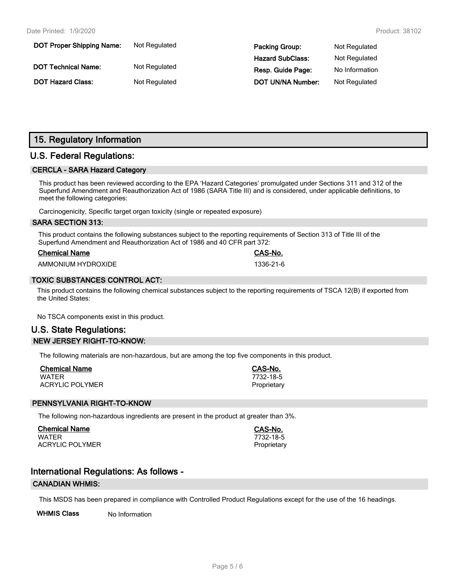| <b>DOT Proper Shipping Name:</b> | Not Regulated | <b>Packing Group:</b>    | Not Regulated  |
|----------------------------------|---------------|--------------------------|----------------|
|                                  |               | <b>Hazard SubClass:</b>  | Not Regulated  |
| <b>DOT Technical Name:</b>       | Not Regulated | Resp. Guide Page:        | No Information |
| <b>DOT Hazard Class:</b>         | Not Regulated | <b>DOT UN/NA Number:</b> | Not Regulated  |

## **15. Regulatory Information**

## **U.S. Federal Regulations:**

#### **CERCLA - SARA Hazard Category**

This product has been reviewed according to the EPA 'Hazard Categories' promulgated under Sections 311 and 312 of the Superfund Amendment and Reauthorization Act of 1986 (SARA Title III) and is considered, under applicable definitions, to meet the following categories:

Carcinogenicity, Specific target organ toxicity (single or repeated exposure)

#### **SARA SECTION 313:**

This product contains the following substances subject to the reporting requirements of Section 313 of Title III of the Superfund Amendment and Reauthorization Act of 1986 and 40 CFR part 372:

| <b>Chemical Name</b> |  |
|----------------------|--|
|                      |  |

AMMONIUM HYDROXIDE 1336-21-6

#### **TOXIC SUBSTANCES CONTROL ACT:**

This product contains the following chemical substances subject to the reporting requirements of TSCA 12(B) if exported from the United States:

No TSCA components exist in this product.

## **U.S. State Regulations: NEW JERSEY RIGHT-TO-KNOW:**

The following materials are non-hazardous, but are among the top five components in this product.

| <b>Chemical Name</b>   | CAS-No.     |
|------------------------|-------------|
| WATER                  | 7732-18-5   |
| <b>ACRYLIC POLYMER</b> | Proprietary |

#### **PENNSYLVANIA RIGHT-TO-KNOW**

The following non-hazardous ingredients are present in the product at greater than 3%.

**Chemical Name CAS-No.** WATER 7732-18-5 ACRYLIC POLYMER **Proprietary** Proprietary

**Chemical Name CAS-No.**

## **International Regulations: As follows -**

#### **CANADIAN WHMIS:**

This MSDS has been prepared in compliance with Controlled Product Regulations except for the use of the 16 headings.

**WHMIS Class** No Information